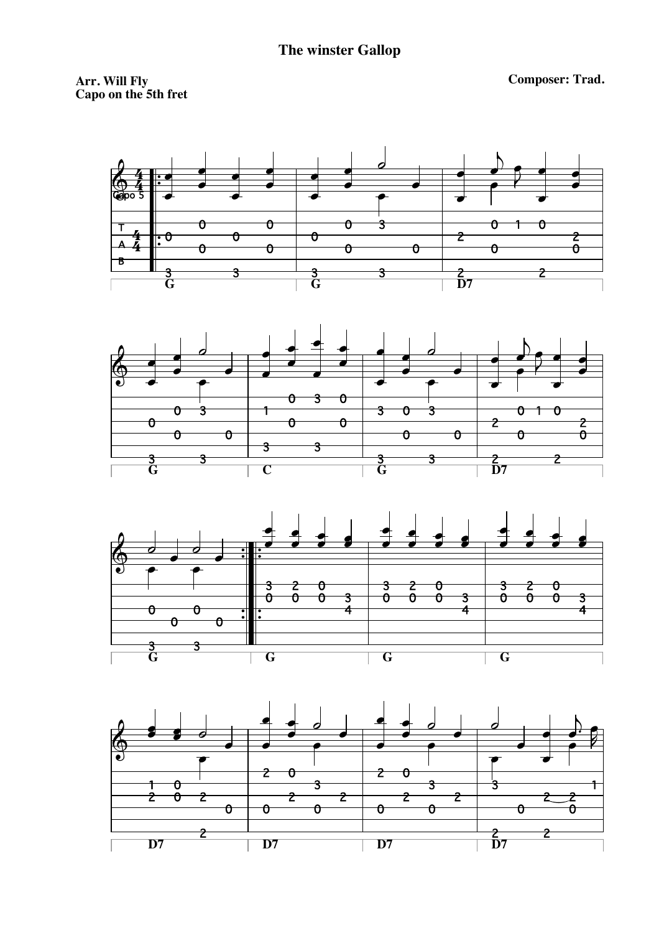Arr. Will Fly<br>Capo on the 5th fret

**Composer: Trad.**